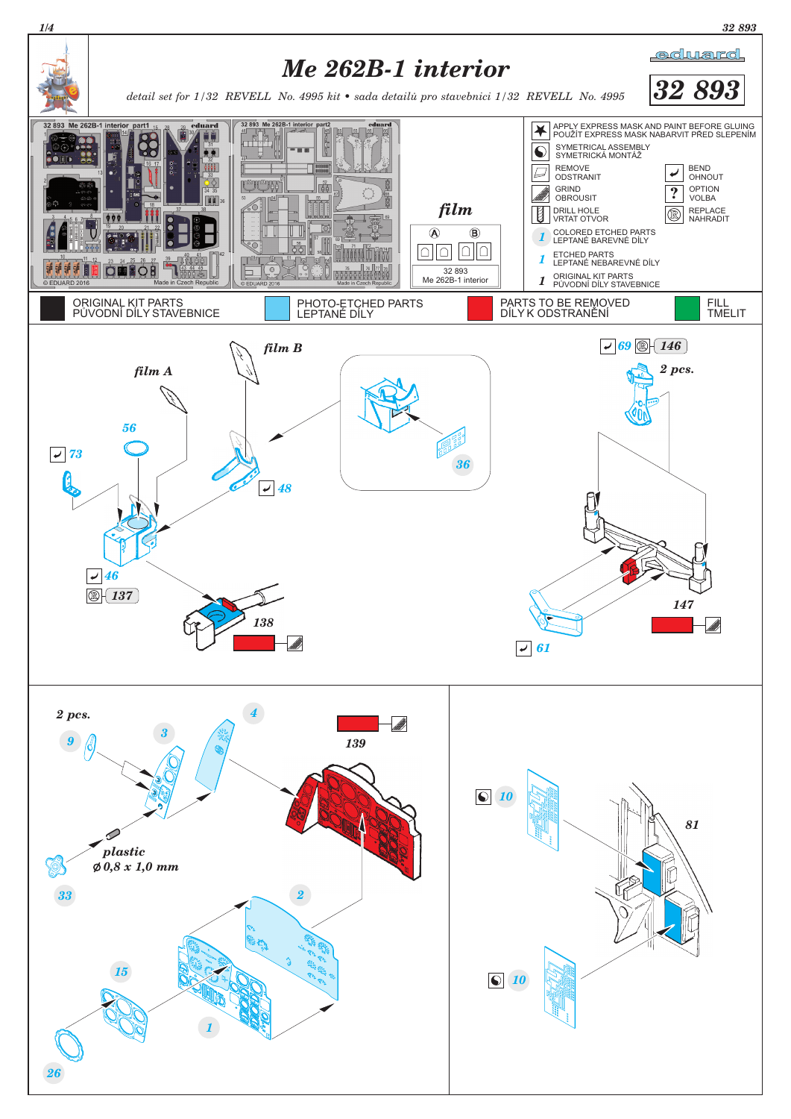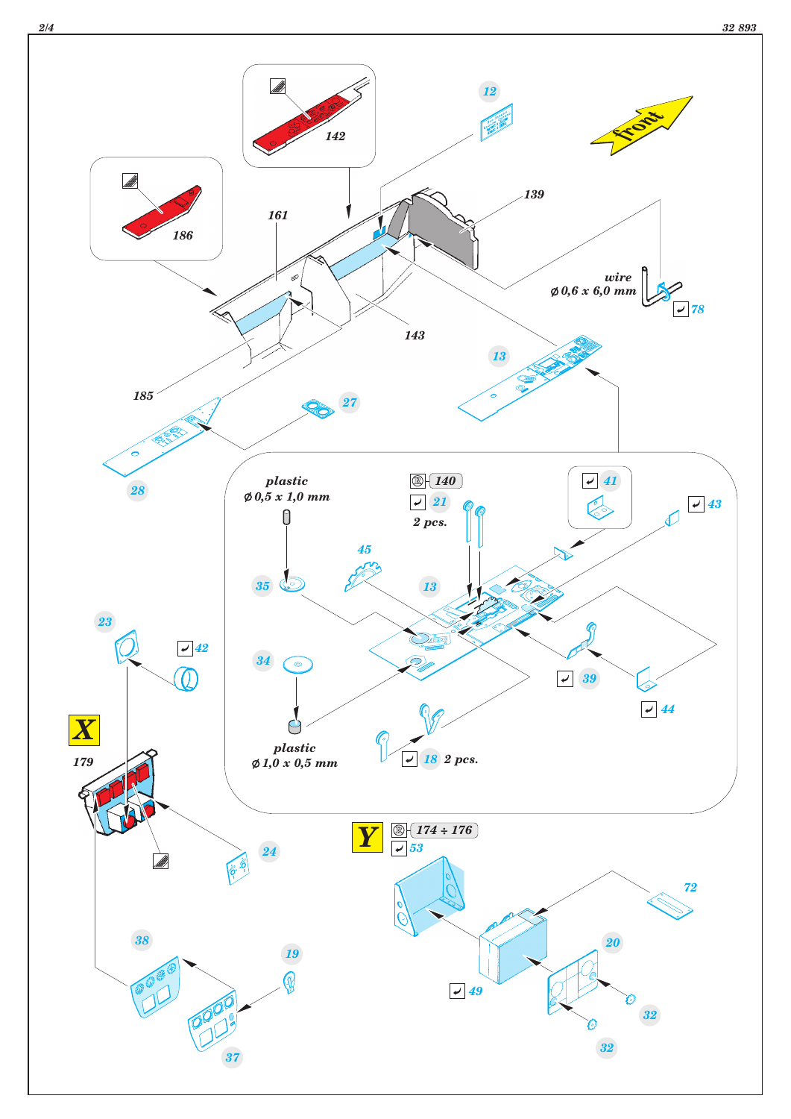

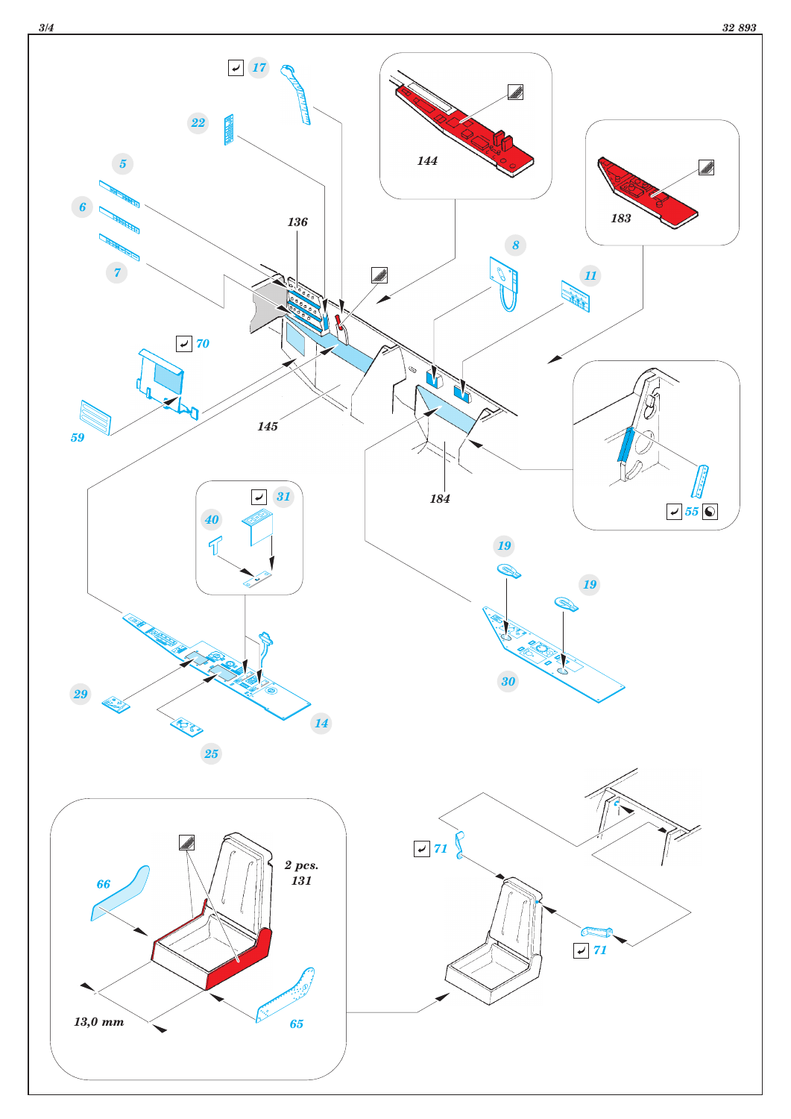